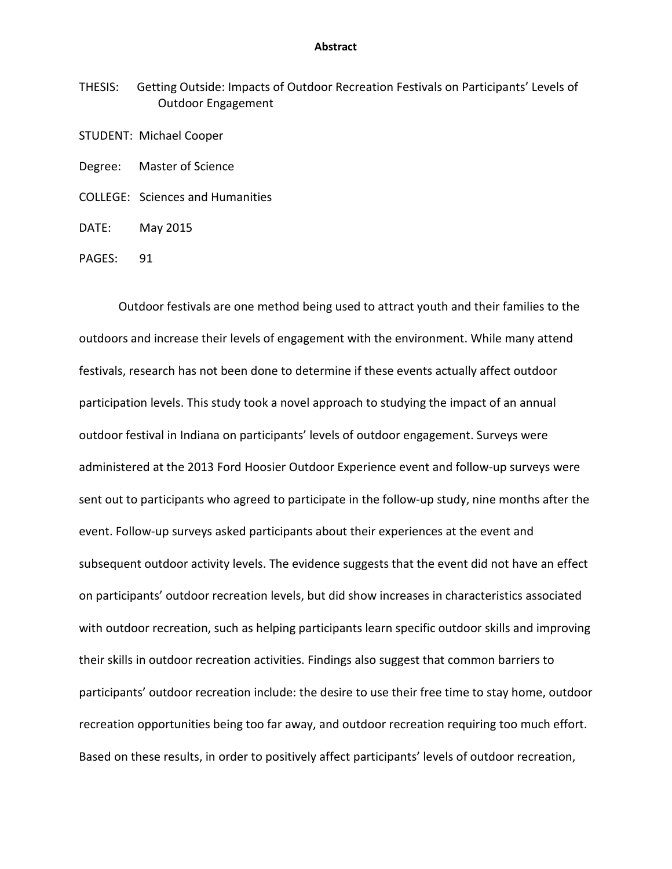## **Abstract**

THESIS: Getting Outside: Impacts of Outdoor Recreation Festivals on Participants' Levels of Outdoor Engagement

STUDENT: Michael Cooper

Degree: Master of Science

COLLEGE: Sciences and Humanities

DATE: May 2015

PAGES: 91

Outdoor festivals are one method being used to attract youth and their families to the outdoors and increase their levels of engagement with the environment. While many attend festivals, research has not been done to determine if these events actually affect outdoor participation levels. This study took a novel approach to studying the impact of an annual outdoor festival in Indiana on participants' levels of outdoor engagement. Surveys were administered at the 2013 Ford Hoosier Outdoor Experience event and follow-up surveys were sent out to participants who agreed to participate in the follow-up study, nine months after the event. Follow-up surveys asked participants about their experiences at the event and subsequent outdoor activity levels. The evidence suggests that the event did not have an effect on participants' outdoor recreation levels, but did show increases in characteristics associated with outdoor recreation, such as helping participants learn specific outdoor skills and improving their skills in outdoor recreation activities. Findings also suggest that common barriers to participants' outdoor recreation include: the desire to use their free time to stay home, outdoor recreation opportunities being too far away, and outdoor recreation requiring too much effort. Based on these results, in order to positively affect participants' levels of outdoor recreation,